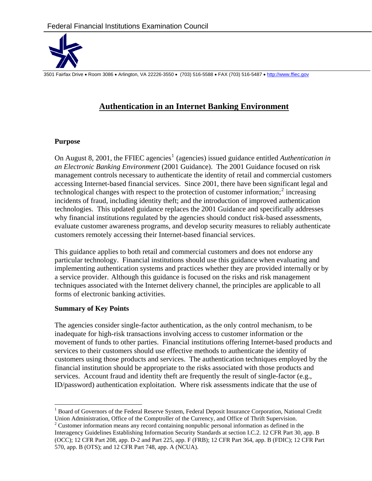

3501 Fairfax Drive • Room 3086 • Arlington, VA 22226-3550 • (703) 516-5588 • FAX (703) 516-5487 • http://www.ffiec.gov

## **Authentication in an Internet Banking Environment**

#### **Purpose**

On August 8, 200[1](#page-0-0), the FFIEC agencies<sup>1</sup> (agencies) issued guidance entitled *Authentication in an Electronic Banking Environment* (2001 Guidance). The 2001 Guidance focused on risk management controls necessary to authenticate the identity of retail and commercial customers accessing Internet-based financial services. Since 2001, there have been significant legal and technological changes with respect to the protection of customer information; $2$  increasing incidents of fraud, including identity theft; and the introduction of improved authentication technologies. This updated guidance replaces the 2001 Guidance and specifically addresses why financial institutions regulated by the agencies should conduct risk-based assessments, evaluate customer awareness programs, and develop security measures to reliably authenticate customers remotely accessing their Internet-based financial services.

This guidance applies to both retail and commercial customers and does not endorse any particular technology. Financial institutions should use this guidance when evaluating and implementing authentication systems and practices whether they are provided internally or by a service provider. Although this guidance is focused on the risks and risk management techniques associated with the Internet delivery channel, the principles are applicable to all forms of electronic banking activities.

## **Summary of Key Points**

 $\overline{a}$ 

The agencies consider single-factor authentication, as the only control mechanism, to be inadequate for high-risk transactions involving access to customer information or the movement of funds to other parties. Financial institutions offering Internet-based products and services to their customers should use effective methods to authenticate the identity of customers using those products and services. The authentication techniques employed by the financial institution should be appropriate to the risks associated with those products and services. Account fraud and identity theft are frequently the result of single-factor (e.g., ID/password) authentication exploitation. Where risk assessments indicate that the use of

<span id="page-0-0"></span><sup>&</sup>lt;sup>1</sup> Board of Governors of the Federal Reserve System, Federal Deposit Insurance Corporation, National Credit Union Administration, Office of the Comptroller of the Currency, and Office of Thrift Supervision.

<span id="page-0-1"></span> $2^2$  Customer information means any record containing nonpublic personal information as defined in the Interagency Guidelines Establishing Information Security Standards at section I.C.2. 12 CFR Part 30, app. B (OCC); 12 CFR Part 208, app. D-2 and Part 225, app. F (FRB); 12 CFR Part 364, app. B (FDIC); 12 CFR Part 570, app. B (OTS); and 12 CFR Part 748, app. A (NCUA).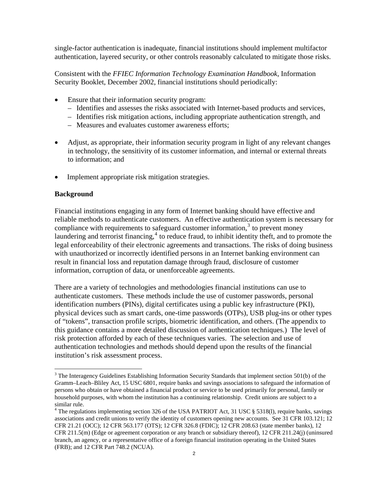single-factor authentication is inadequate, financial institutions should implement multifactor authentication, layered security, or other controls reasonably calculated to mitigate those risks.

Consistent with the *FFIEC Information Technology Examination Handbook*, Information Security Booklet, December 2002, financial institutions should periodically:

- Ensure that their information security program:
	- Identifies and assesses the risks associated with Internet-based products and services,
	- Identifies risk mitigation actions, including appropriate authentication strength, and
	- Measures and evaluates customer awareness efforts;
- Adjust, as appropriate, their information security program in light of any relevant changes in technology, the sensitivity of its customer information, and internal or external threats to information; and
- Implement appropriate risk mitigation strategies.

#### **Background**

 $\overline{a}$ 

Financial institutions engaging in any form of Internet banking should have effective and reliable methods to authenticate customers. An effective authentication system is necessary for compliance with requirements to safeguard customer information, $3$  to prevent money laundering and terrorist financing, $4$  to reduce fraud, to inhibit identity theft, and to promote the legal enforceability of their electronic agreements and transactions. The risks of doing business with unauthorized or incorrectly identified persons in an Internet banking environment can result in financial loss and reputation damage through fraud, disclosure of customer information, corruption of data, or unenforceable agreements.

There are a variety of technologies and methodologies financial institutions can use to authenticate customers. These methods include the use of customer passwords, personal identification numbers (PINs), digital certificates using a public key infrastructure (PKI), physical devices such as smart cards, one-time passwords (OTPs), USB plug-ins or other types of "tokens", transaction profile scripts, biometric identification, and others. (The appendix to this guidance contains a more detailed discussion of authentication techniques.) The level of risk protection afforded by each of these techniques varies. The selection and use of authentication technologies and methods should depend upon the results of the financial institution's risk assessment process.

<span id="page-1-0"></span> $3$  The Interagency Guidelines Establishing Information Security Standards that implement section 501(b) of the Gramm–Leach–Bliley Act, 15 USC 6801, require banks and savings associations to safeguard the information of persons who obtain or have obtained a financial product or service to be used primarily for personal, family or household purposes, with whom the institution has a continuing relationship. Credit unions are subject to a similar rule.

<span id="page-1-1"></span><sup>&</sup>lt;sup>4</sup> The regulations implementing section 326 of the USA PATRIOT Act, 31 USC  $\S$  5318(1), require banks, savings associations and credit unions to verify the identity of customers opening new accounts. See 31 CFR 103.121; 12 CFR 21.21 (OCC); 12 CFR 563.177 (OTS); 12 CFR 326.8 (FDIC); 12 CFR 208.63 (state member banks), 12 CFR 211.5(m) (Edge or agreement corporation or any branch or subsidiary thereof), 12 CFR 211.24(j) (uninsured branch, an agency, or a representative office of a foreign financial institution operating in the United States (FRB); and 12 CFR Part 748.2 (NCUA).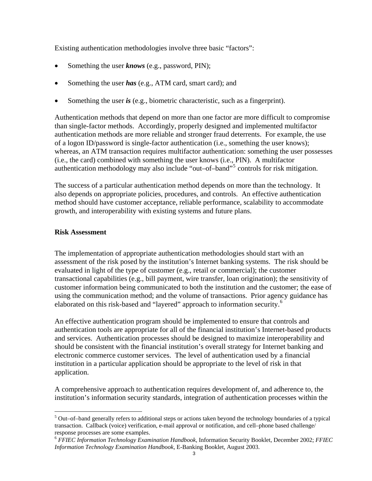Existing authentication methodologies involve three basic "factors":

- Something the user *knows* (e.g., password, PIN);
- Something the user *has* (e.g., ATM card, smart card); and
- Something the user *is* (e.g., biometric characteristic, such as a fingerprint).

Authentication methods that depend on more than one factor are more difficult to compromise than single-factor methods. Accordingly, properly designed and implemented multifactor authentication methods are more reliable and stronger fraud deterrents. For example, the use of a logon ID/password is single-factor authentication (i.e., something the user knows); whereas, an ATM transaction requires multifactor authentication: something the user possesses (i.e., the card) combined with something the user knows (i.e., PIN). A multifactor authentication methodology may also include "out-of-band"<sup>[5](#page-2-0)</sup> controls for risk mitigation.

The success of a particular authentication method depends on more than the technology. It also depends on appropriate policies, procedures, and controls. An effective authentication method should have customer acceptance, reliable performance, scalability to accommodate growth, and interoperability with existing systems and future plans.

#### **Risk Assessment**

 $\overline{a}$ 

The implementation of appropriate authentication methodologies should start with an assessment of the risk posed by the institution's Internet banking systems. The risk should be evaluated in light of the type of customer (e.g., retail or commercial); the customer transactional capabilities (e.g., bill payment, wire transfer, loan origination); the sensitivity of customer information being communicated to both the institution and the customer; the ease of using the communication method; and the volume of transactions. Prior agency guidance has elaborated on this risk-based and "layered" approach to information security.<sup>[6](#page-2-1)</sup>

An effective authentication program should be implemented to ensure that controls and authentication tools are appropriate for all of the financial institution's Internet-based products and services. Authentication processes should be designed to maximize interoperability and should be consistent with the financial institution's overall strategy for Internet banking and electronic commerce customer services. The level of authentication used by a financial institution in a particular application should be appropriate to the level of risk in that application.

A comprehensive approach to authentication requires development of, and adherence to, the institution's information security standards, integration of authentication processes within the

<span id="page-2-0"></span> $5$  Out–of–band generally refers to additional steps or actions taken beyond the technology boundaries of a typical transaction. Callback (voice) verification, e-mail approval or notification, and cell–phone based challenge/ response processes are some examples.

<span id="page-2-1"></span><sup>6</sup> *FFIEC Information Technology Examination Handbook,* Information Security Booklet, December 2002; *FFIEC Information Technology Examination Handbook,* E-Banking Booklet, August 2003.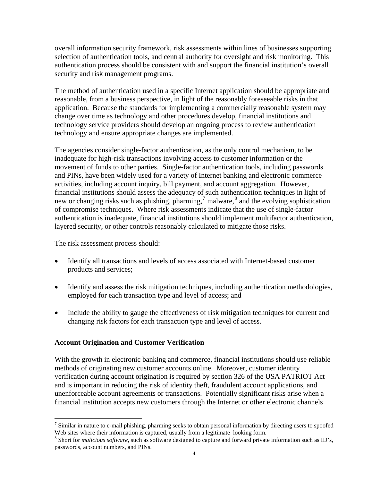overall information security framework, risk assessments within lines of businesses supporting selection of authentication tools, and central authority for oversight and risk monitoring. This authentication process should be consistent with and support the financial institution's overall security and risk management programs.

The method of authentication used in a specific Internet application should be appropriate and reasonable, from a business perspective, in light of the reasonably foreseeable risks in that application. Because the standards for implementing a commercially reasonable system may change over time as technology and other procedures develop, financial institutions and technology service providers should develop an ongoing process to review authentication technology and ensure appropriate changes are implemented.

The agencies consider single-factor authentication, as the only control mechanism, to be inadequate for high-risk transactions involving access to customer information or the movement of funds to other parties. Single-factor authentication tools, including passwords and PINs, have been widely used for a variety of Internet banking and electronic commerce activities, including account inquiry, bill payment, and account aggregation. However, financial institutions should assess the adequacy of such authentication techniques in light of new or changing risks such as phishing, pharming,<sup>[7](#page-3-0)</sup> malware, $^8$  $^8$  and the evolving sophistication of compromise techniques. Where risk assessments indicate that the use of single-factor authentication is inadequate, financial institutions should implement multifactor authentication, layered security, or other controls reasonably calculated to mitigate those risks.

The risk assessment process should:

 $\overline{a}$ 

- Identify all transactions and levels of access associated with Internet-based customer products and services;
- Identify and assess the risk mitigation techniques, including authentication methodologies, employed for each transaction type and level of access; and
- Include the ability to gauge the effectiveness of risk mitigation techniques for current and changing risk factors for each transaction type and level of access.

## **Account Origination and Customer Verification**

With the growth in electronic banking and commerce, financial institutions should use reliable methods of originating new customer accounts online. Moreover, customer identity verification during account origination is required by section 326 of the USA PATRIOT Act and is important in reducing the risk of identity theft, fraudulent account applications, and unenforceable account agreements or transactions. Potentially significant risks arise when a financial institution accepts new customers through the Internet or other electronic channels

<span id="page-3-0"></span> $<sup>7</sup>$  Similar in nature to e-mail phishing, pharming seeks to obtain personal information by directing users to spoofed</sup> Web sites where their information is captured, usually from a legitimate–looking form.

<span id="page-3-1"></span>Short for *malicious software,* such as software designed to capture and forward private information such as ID's, passwords, account numbers, and PINs.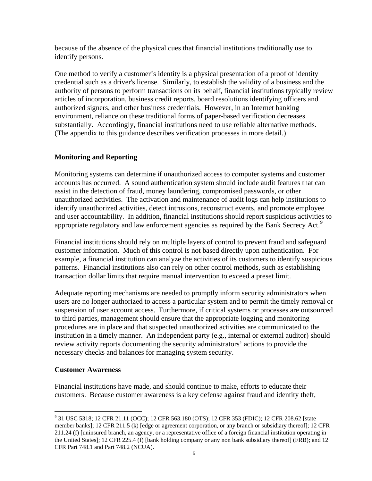because of the absence of the physical cues that financial institutions traditionally use to identify persons.

One method to verify a customer's identity is a physical presentation of a proof of identity credential such as a driver's license. Similarly, to establish the validity of a business and the authority of persons to perform transactions on its behalf, financial institutions typically review articles of incorporation, business credit reports, board resolutions identifying officers and authorized signers, and other business credentials. However, in an Internet banking environment, reliance on these traditional forms of paper-based verification decreases substantially. Accordingly, financial institutions need to use reliable alternative methods. (The appendix to this guidance describes verification processes in more detail.)

## **Monitoring and Reporting**

Monitoring systems can determine if unauthorized access to computer systems and customer accounts has occurred. A sound authentication system should include audit features that can assist in the detection of fraud, money laundering, compromised passwords, or other unauthorized activities. The activation and maintenance of audit logs can help institutions to identify unauthorized activities, detect intrusions, reconstruct events, and promote employee and user accountability. In addition, financial institutions should report suspicious activities to appropriate regulatory and law enforcement agencies as required by the Bank Secrecy Act.<sup>[9](#page-4-0)</sup>

Financial institutions should rely on multiple layers of control to prevent fraud and safeguard customer information. Much of this control is not based directly upon authentication. For example, a financial institution can analyze the activities of its customers to identify suspicious patterns. Financial institutions also can rely on other control methods, such as establishing transaction dollar limits that require manual intervention to exceed a preset limit.

Adequate reporting mechanisms are needed to promptly inform security administrators when users are no longer authorized to access a particular system and to permit the timely removal or suspension of user account access. Furthermore, if critical systems or processes are outsourced to third parties, management should ensure that the appropriate logging and monitoring procedures are in place and that suspected unauthorized activities are communicated to the institution in a timely manner. An independent party (e.g., internal or external auditor) should review activity reports documenting the security administrators' actions to provide the necessary checks and balances for managing system security.

## **Customer Awareness**

Financial institutions have made, and should continue to make, efforts to educate their customers. Because customer awareness is a key defense against fraud and identity theft,

<span id="page-4-0"></span> $\overline{a}$ <sup>9</sup> 31 USC 5318; 12 CFR 21.11 (OCC); 12 CFR 563.180 (OTS); 12 CFR 353 (FDIC); 12 CFR 208.62 [state member banks]; 12 CFR 211.5 (k) [edge or agreement corporation, or any branch or subsidiary thereof]; 12 CFR 211.24 (f) [uninsured branch, an agency, or a representative office of a foreign financial institution operating in the United States]; 12 CFR 225.4 (f) [bank holding company or any non bank subsidiary thereof] (FRB); and 12 CFR Part 748.1 and Part 748.2 (NCUA).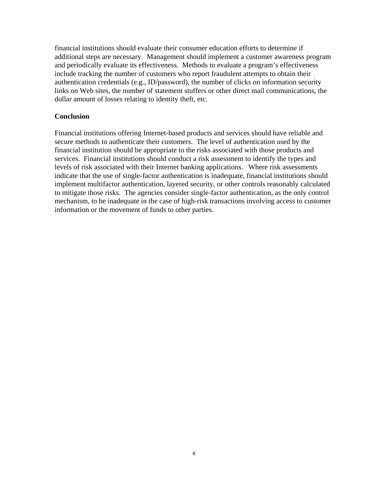financial institutions should evaluate their consumer education efforts to determine if additional steps are necessary. Management should implement a customer awareness program and periodically evaluate its effectiveness. Methods to evaluate a program's effectiveness include tracking the number of customers who report fraudulent attempts to obtain their authentication credentials (e.g., ID/password), the number of clicks on information security links on Web sites, the number of statement stuffers or other direct mail communications, the dollar amount of losses relating to identity theft, etc.

#### **Conclusion**

Financial institutions offering Internet-based products and services should have reliable and secure methods to authenticate their customers. The level of authentication used by the financial institution should be appropriate to the risks associated with those products and services. Financial institutions should conduct a risk assessment to identify the types and levels of risk associated with their Internet banking applications. Where risk assessments indicate that the use of single-factor authentication is inadequate, financial institutions should implement multifactor authentication, layered security, or other controls reasonably calculated to mitigate those risks. The agencies consider single-factor authentication, as the only control mechanism, to be inadequate in the case of high-risk transactions involving access to customer information or the movement of funds to other parties.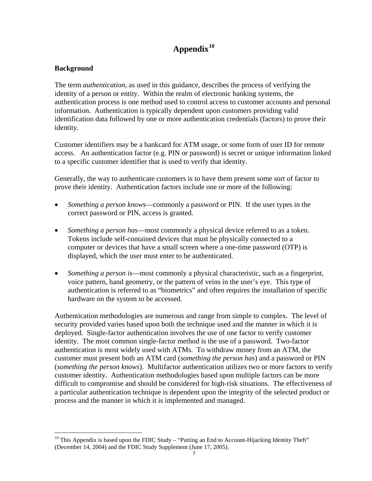# **Appendix[10](#page-6-0)**

## **Background**

 $\overline{a}$ 

The term *authentication*, as used in this guidance, describes the process of verifying the identity of a person or entity. Within the realm of electronic banking systems, the authentication process is one method used to control access to customer accounts and personal information. Authentication is typically dependent upon customers providing valid identification data followed by one or more authentication credentials (factors) to prove their identity.

Customer identifiers may be a bankcard for ATM usage, or some form of user ID for remote access. An authentication factor (e.g. PIN or password) is secret or unique information linked to a specific customer identifier that is used to verify that identity.

Generally, the way to authenticate customers is to have them present some sort of factor to prove their identity. Authentication factors include one or more of the following:

- *Something a person knows*—commonly a password or PIN. If the user types in the correct password or PIN, access is granted.
- *Something a person has*—most commonly a physical device referred to as a token. Tokens include self-contained devices that must be physically connected to a computer or devices that have a small screen where a one-time password (OTP) is displayed, which the user must enter to be authenticated.
- *Something a person is*—most commonly a physical characteristic, such as a fingerprint, voice pattern, hand geometry, or the pattern of veins in the user's eye. This type of authentication is referred to as "biometrics" and often requires the installation of specific hardware on the system to be accessed.

Authentication methodologies are numerous and range from simple to complex. The level of security provided varies based upon both the technique used and the manner in which it is deployed. Single-factor authentication involves the use of one factor to verify customer identity. The most common single-factor method is the use of a password. Two-factor authentication is most widely used with ATMs. To withdraw money from an ATM, the customer must present both an ATM card (*something the person ha*s) and a password or PIN (*something the person knows*). Multifactor authentication utilizes two or more factors to verify customer identity. Authentication methodologies based upon multiple factors can be more difficult to compromise and should be considered for high-risk situations. The effectiveness of a particular authentication technique is dependent upon the integrity of the selected product or process and the manner in which it is implemented and managed.

<span id="page-6-0"></span> $10$  This Appendix is based upon the FDIC Study – "Putting an End to Account-Hijacking Identity Theft" (December 14, 2004) and the FDIC Study Supplement (June 17, 2005).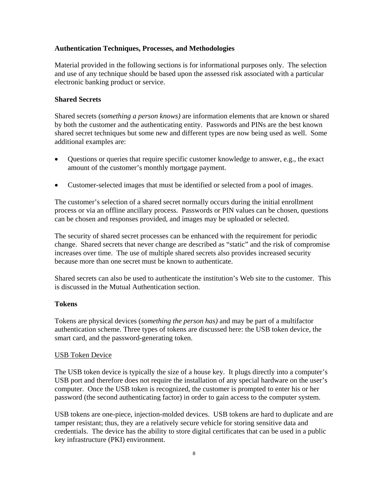## **Authentication Techniques, Processes, and Methodologies**

Material provided in the following sections is for informational purposes only. The selection and use of any technique should be based upon the assessed risk associated with a particular electronic banking product or service.

#### **Shared Secrets**

Shared secrets (*something a person knows)* are information elements that are known or shared by both the customer and the authenticating entity. Passwords and PINs are the best known shared secret techniques but some new and different types are now being used as well. Some additional examples are:

- Questions or queries that require specific customer knowledge to answer, e.g., the exact amount of the customer's monthly mortgage payment.
- Customer-selected images that must be identified or selected from a pool of images.

The customer's selection of a shared secret normally occurs during the initial enrollment process or via an offline ancillary process. Passwords or PIN values can be chosen, questions can be chosen and responses provided, and images may be uploaded or selected.

The security of shared secret processes can be enhanced with the requirement for periodic change. Shared secrets that never change are described as "static" and the risk of compromise increases over time. The use of multiple shared secrets also provides increased security because more than one secret must be known to authenticate.

Shared secrets can also be used to authenticate the institution's Web site to the customer. This is discussed in the Mutual Authentication section.

#### **Tokens**

Tokens are physical devices (*something the person has)* and may be part of a multifactor authentication scheme. Three types of tokens are discussed here: the USB token device, the smart card, and the password-generating token.

#### USB Token Device

The USB token device is typically the size of a house key. It plugs directly into a computer's USB port and therefore does not require the installation of any special hardware on the user's computer. Once the USB token is recognized, the customer is prompted to enter his or her password (the second authenticating factor) in order to gain access to the computer system.

USB tokens are one-piece, injection-molded devices. USB tokens are hard to duplicate and are tamper resistant; thus, they are a relatively secure vehicle for storing sensitive data and credentials. The device has the ability to store digital certificates that can be used in a public key infrastructure (PKI) environment.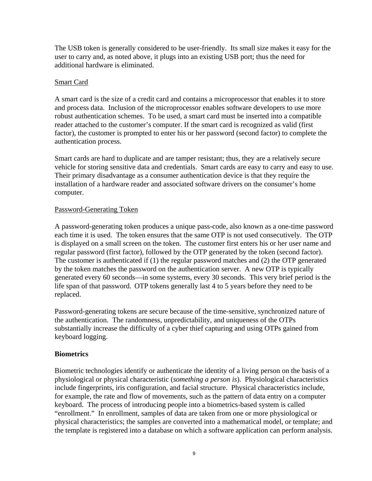The USB token is generally considered to be user-friendly. Its small size makes it easy for the user to carry and, as noted above, it plugs into an existing USB port; thus the need for additional hardware is eliminated.

## Smart Card

A smart card is the size of a credit card and contains a microprocessor that enables it to store and process data. Inclusion of the microprocessor enables software developers to use more robust authentication schemes. To be used, a smart card must be inserted into a compatible reader attached to the customer's computer. If the smart card is recognized as valid (first factor), the customer is prompted to enter his or her password (second factor) to complete the authentication process.

Smart cards are hard to duplicate and are tamper resistant; thus, they are a relatively secure vehicle for storing sensitive data and credentials. Smart cards are easy to carry and easy to use. Their primary disadvantage as a consumer authentication device is that they require the installation of a hardware reader and associated software drivers on the consumer's home computer.

#### Password-Generating Token

A password-generating token produces a unique pass-code, also known as a one-time password each time it is used. The token ensures that the same OTP is not used consecutively. The OTP is displayed on a small screen on the token. The customer first enters his or her user name and regular password (first factor), followed by the OTP generated by the token (second factor). The customer is authenticated if (1) the regular password matches and (2) the OTP generated by the token matches the password on the authentication server. A new OTP is typically generated every 60 seconds—in some systems, every 30 seconds. This very brief period is the life span of that password. OTP tokens generally last 4 to 5 years before they need to be replaced.

Password-generating tokens are secure because of the time-sensitive, synchronized nature of the authentication. The randomness, unpredictability, and uniqueness of the OTPs substantially increase the difficulty of a cyber thief capturing and using OTPs gained from keyboard logging.

## **Biometrics**

Biometric technologies identify or authenticate the identity of a living person on the basis of a physiological or physical characteristic (*something a person is*). Physiological characteristics include fingerprints, iris configuration, and facial structure. Physical characteristics include, for example, the rate and flow of movements, such as the pattern of data entry on a computer keyboard. The process of introducing people into a biometrics-based system is called "enrollment." In enrollment, samples of data are taken from one or more physiological or physical characteristics; the samples are converted into a mathematical model, or template; and the template is registered into a database on which a software application can perform analysis.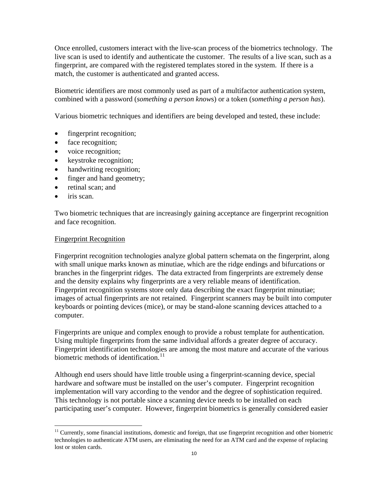Once enrolled, customers interact with the live-scan process of the biometrics technology. The live scan is used to identify and authenticate the customer. The results of a live scan, such as a fingerprint, are compared with the registered templates stored in the system. If there is a match, the customer is authenticated and granted access.

Biometric identifiers are most commonly used as part of a multifactor authentication system, combined with a password (*something a person know*s) or a token (*something a person has*).

Various biometric techniques and identifiers are being developed and tested, these include:

- fingerprint recognition;
- face recognition;
- voice recognition;
- keystroke recognition;
- handwriting recognition;
- finger and hand geometry;
- retinal scan; and
- iris scan.

 $\overline{a}$ 

Two biometric techniques that are increasingly gaining acceptance are fingerprint recognition and face recognition.

#### Fingerprint Recognition

Fingerprint recognition technologies analyze global pattern schemata on the fingerprint, along with small unique marks known as minutiae, which are the ridge endings and bifurcations or branches in the fingerprint ridges. The data extracted from fingerprints are extremely dense and the density explains why fingerprints are a very reliable means of identification. Fingerprint recognition systems store only data describing the exact fingerprint minutiae; images of actual fingerprints are not retained. Fingerprint scanners may be built into computer keyboards or pointing devices (mice), or may be stand-alone scanning devices attached to a computer.

Fingerprints are unique and complex enough to provide a robust template for authentication. Using multiple fingerprints from the same individual affords a greater degree of accuracy. Fingerprint identification technologies are among the most mature and accurate of the various biometric methods of identification.<sup>[11](#page-9-0)</sup>

Although end users should have little trouble using a fingerprint-scanning device, special hardware and software must be installed on the user's computer. Fingerprint recognition implementation will vary according to the vendor and the degree of sophistication required. This technology is not portable since a scanning device needs to be installed on each participating user's computer. However, fingerprint biometrics is generally considered easier

<span id="page-9-0"></span><sup>&</sup>lt;sup>11</sup> Currently, some financial institutions, domestic and foreign, that use fingerprint recognition and other biometric technologies to authenticate ATM users, are eliminating the need for an ATM card and the expense of replacing lost or stolen cards.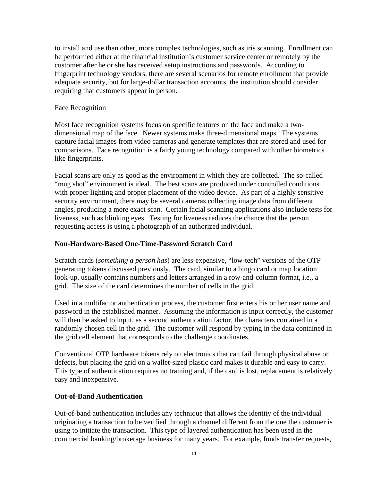to install and use than other, more complex technologies, such as iris scanning. Enrollment can be performed either at the financial institution's customer service center or remotely by the customer after he or she has received setup instructions and passwords. According to fingerprint technology vendors, there are several scenarios for remote enrollment that provide adequate security, but for large-dollar transaction accounts, the institution should consider requiring that customers appear in person.

#### Face Recognition

Most face recognition systems focus on specific features on the face and make a twodimensional map of the face. Newer systems make three-dimensional maps. The systems capture facial images from video cameras and generate templates that are stored and used for comparisons. Face recognition is a fairly young technology compared with other biometrics like fingerprints.

Facial scans are only as good as the environment in which they are collected. The so-called "mug shot" environment is ideal. The best scans are produced under controlled conditions with proper lighting and proper placement of the video device. As part of a highly sensitive security environment, there may be several cameras collecting image data from different angles, producing a more exact scan. Certain facial scanning applications also include tests for liveness, such as blinking eyes. Testing for liveness reduces the chance that the person requesting access is using a photograph of an authorized individual.

## **Non-Hardware-Based One-Time-Password Scratch Card**

Scratch cards (*something a person has*) are less-expensive, "low-tech" versions of the OTP generating tokens discussed previously. The card, similar to a bingo card or map location look-up, usually contains numbers and letters arranged in a row-and-column format, i.e., a grid. The size of the card determines the number of cells in the grid.

Used in a multifactor authentication process, the customer first enters his or her user name and password in the established manner. Assuming the information is input correctly, the customer will then be asked to input, as a second authentication factor, the characters contained in a randomly chosen cell in the grid. The customer will respond by typing in the data contained in the grid cell element that corresponds to the challenge coordinates.

Conventional OTP hardware tokens rely on electronics that can fail through physical abuse or defects, but placing the grid on a wallet-sized plastic card makes it durable and easy to carry. This type of authentication requires no training and, if the card is lost, replacement is relatively easy and inexpensive.

#### **Out-of-Band Authentication**

Out-of-band authentication includes any technique that allows the identity of the individual originating a transaction to be verified through a channel different from the one the customer is using to initiate the transaction. This type of layered authentication has been used in the commercial banking/brokerage business for many years. For example, funds transfer requests,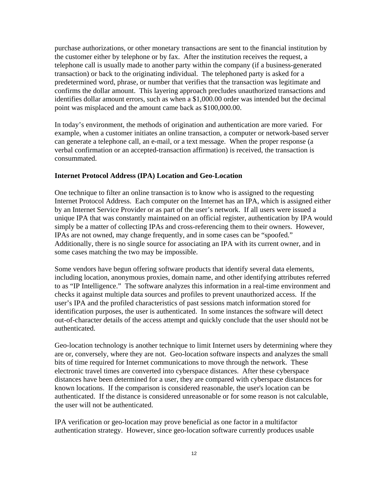purchase authorizations, or other monetary transactions are sent to the financial institution by the customer either by telephone or by fax. After the institution receives the request, a telephone call is usually made to another party within the company (if a business-generated transaction) or back to the originating individual. The telephoned party is asked for a predetermined word, phrase, or number that verifies that the transaction was legitimate and confirms the dollar amount. This layering approach precludes unauthorized transactions and identifies dollar amount errors, such as when a \$1,000.00 order was intended but the decimal point was misplaced and the amount came back as \$100,000.00.

In today's environment, the methods of origination and authentication are more varied. For example, when a customer initiates an online transaction, a computer or network-based server can generate a telephone call, an e-mail, or a text message. When the proper response (a verbal confirmation or an accepted-transaction affirmation) is received, the transaction is consummated.

#### **Internet Protocol Address (IPA) Location and Geo-Location**

One technique to filter an online transaction is to know who is assigned to the requesting Internet Protocol Address. Each computer on the Internet has an IPA, which is assigned either by an Internet Service Provider or as part of the user's network. If all users were issued a unique IPA that was constantly maintained on an official register, authentication by IPA would simply be a matter of collecting IPAs and cross-referencing them to their owners. However, IPAs are not owned, may change frequently, and in some cases can be "spoofed." Additionally, there is no single source for associating an IPA with its current owner, and in some cases matching the two may be impossible.

Some vendors have begun offering software products that identify several data elements, including location, anonymous proxies, domain name, and other identifying attributes referred to as "IP Intelligence." The software analyzes this information in a real-time environment and checks it against multiple data sources and profiles to prevent unauthorized access. If the user's IPA and the profiled characteristics of past sessions match information stored for identification purposes, the user is authenticated. In some instances the software will detect out-of-character details of the access attempt and quickly conclude that the user should not be authenticated.

Geo-location technology is another technique to limit Internet users by determining where they are or, conversely, where they are not. Geo-location software inspects and analyzes the small bits of time required for Internet communications to move through the network. These electronic travel times are converted into cyberspace distances. After these cyberspace distances have been determined for a user, they are compared with cyberspace distances for known locations. If the comparison is considered reasonable, the user's location can be authenticated. If the distance is considered unreasonable or for some reason is not calculable, the user will not be authenticated.

IPA verification or geo-location may prove beneficial as one factor in a multifactor authentication strategy. However, since geo-location software currently produces usable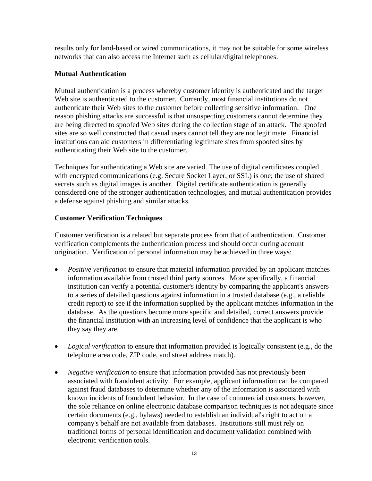results only for land-based or wired communications, it may not be suitable for some wireless networks that can also access the Internet such as cellular/digital telephones.

## **Mutual Authentication**

Mutual authentication is a process whereby customer identity is authenticated and the target Web site is authenticated to the customer. Currently, most financial institutions do not authenticate their Web sites to the customer before collecting sensitive information. One reason phishing attacks are successful is that unsuspecting customers cannot determine they are being directed to spoofed Web sites during the collection stage of an attack. The spoofed sites are so well constructed that casual users cannot tell they are not legitimate. Financial institutions can aid customers in differentiating legitimate sites from spoofed sites by authenticating their Web site to the customer.

Techniques for authenticating a Web site are varied. The use of digital certificates coupled with encrypted communications (e.g. Secure Socket Layer, or SSL) is one; the use of shared secrets such as digital images is another. Digital certificate authentication is generally considered one of the stronger authentication technologies, and mutual authentication provides a defense against phishing and similar attacks.

## **Customer Verification Techniques**

Customer verification is a related but separate process from that of authentication. Customer verification complements the authentication process and should occur during account origination. Verification of personal information may be achieved in three ways:

- *Positive verification* to ensure that material information provided by an applicant matches information available from trusted third party sources. More specifically, a financial institution can verify a potential customer's identity by comparing the applicant's answers to a series of detailed questions against information in a trusted database (e.g., a reliable credit report) to see if the information supplied by the applicant matches information in the database. As the questions become more specific and detailed, correct answers provide the financial institution with an increasing level of confidence that the applicant is who they say they are.
- *Logical verification* to ensure that information provided is logically consistent (e.g., do the telephone area code, ZIP code, and street address match).
- *Negative verification* to ensure that information provided has not previously been associated with fraudulent activity. For example, applicant information can be compared against fraud databases to determine whether any of the information is associated with known incidents of fraudulent behavior. In the case of commercial customers, however, the sole reliance on online electronic database comparison techniques is not adequate since certain documents (e.g., bylaws) needed to establish an individual's right to act on a company's behalf are not available from databases. Institutions still must rely on traditional forms of personal identification and document validation combined with electronic verification tools.